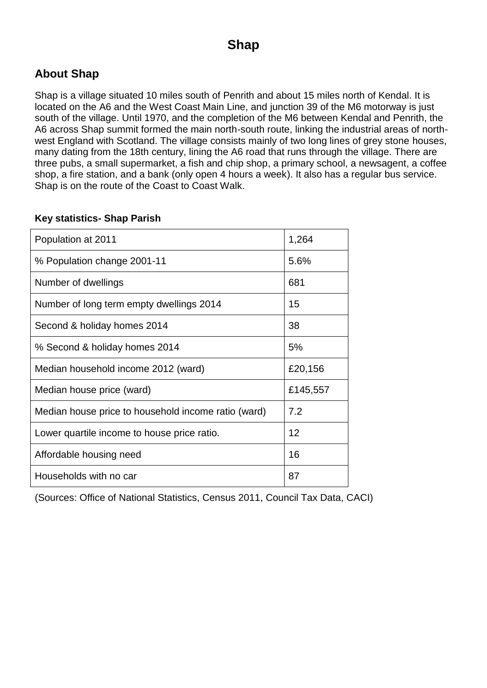### **About Shap**

Shap is a village situated 10 miles south of Penrith and about 15 miles north of Kendal. It is located on the A6 and the West Coast Main Line, and junction 39 of the M6 motorway is just south of the village. Until 1970, and the completion of the M6 between Kendal and Penrith, the A6 across Shap summit formed the main north-south route, linking the industrial areas of northwest England with Scotland. The village consists mainly of two long lines of grey stone houses, many dating from the 18th century, lining the A6 road that runs through the village. There are three pubs, a small supermarket, a fish and chip shop, a primary school, a newsagent, a coffee shop, a fire station, and a bank (only open 4 hours a week). It also has a regular bus service. Shap is on the route of the Coast to Coast Walk.

#### **Key statistics- Shap Parish**

| Population at 2011                                  | 1,264    |
|-----------------------------------------------------|----------|
| % Population change 2001-11                         | 5.6%     |
| Number of dwellings                                 | 681      |
| Number of long term empty dwellings 2014            | 15       |
| Second & holiday homes 2014                         | 38       |
| % Second & holiday homes 2014                       | 5%       |
| Median household income 2012 (ward)                 | £20,156  |
| Median house price (ward)                           | £145,557 |
| Median house price to household income ratio (ward) | 7.2      |
| Lower quartile income to house price ratio.         | 12       |
| Affordable housing need                             | 16       |
| Households with no car                              | 87       |

(Sources: Office of National Statistics, Census 2011, Council Tax Data, CACI)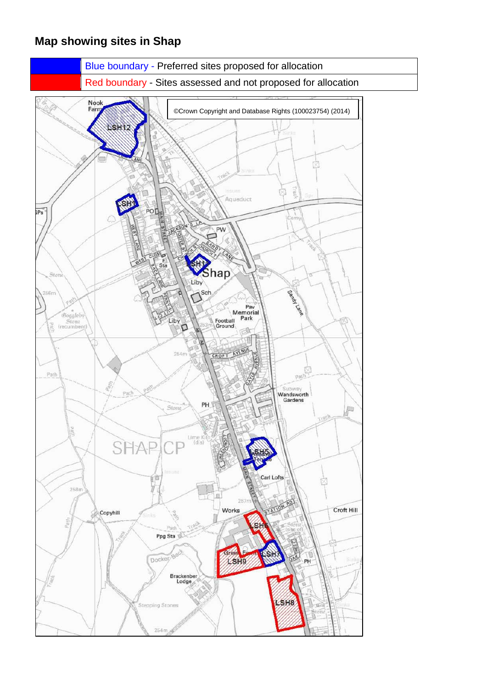### **Map showing sites in Shap**

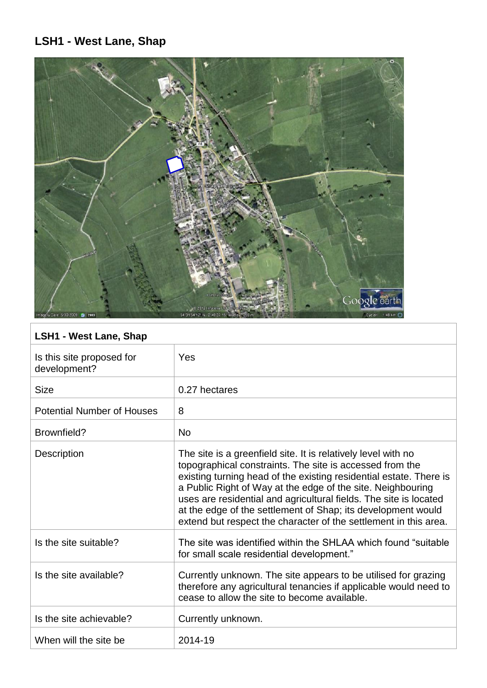# **LSH1 - West Lane, Shap**



## **LSH1 - West Lane, Shap**

| Is this site proposed for<br>development? | Yes                                                                                                                                                                                                                                                                                                                                                                                                                                                                     |
|-------------------------------------------|-------------------------------------------------------------------------------------------------------------------------------------------------------------------------------------------------------------------------------------------------------------------------------------------------------------------------------------------------------------------------------------------------------------------------------------------------------------------------|
| <b>Size</b>                               | 0.27 hectares                                                                                                                                                                                                                                                                                                                                                                                                                                                           |
| <b>Potential Number of Houses</b>         | 8                                                                                                                                                                                                                                                                                                                                                                                                                                                                       |
| Brownfield?                               | <b>No</b>                                                                                                                                                                                                                                                                                                                                                                                                                                                               |
| <b>Description</b>                        | The site is a greenfield site. It is relatively level with no<br>topographical constraints. The site is accessed from the<br>existing turning head of the existing residential estate. There is<br>a Public Right of Way at the edge of the site. Neighbouring<br>uses are residential and agricultural fields. The site is located<br>at the edge of the settlement of Shap; its development would<br>extend but respect the character of the settlement in this area. |
| Is the site suitable?                     | The site was identified within the SHLAA which found "suitable"<br>for small scale residential development."                                                                                                                                                                                                                                                                                                                                                            |
| Is the site available?                    | Currently unknown. The site appears to be utilised for grazing<br>therefore any agricultural tenancies if applicable would need to<br>cease to allow the site to become available.                                                                                                                                                                                                                                                                                      |
| Is the site achievable?                   | Currently unknown.                                                                                                                                                                                                                                                                                                                                                                                                                                                      |
| When will the site be                     | 2014-19                                                                                                                                                                                                                                                                                                                                                                                                                                                                 |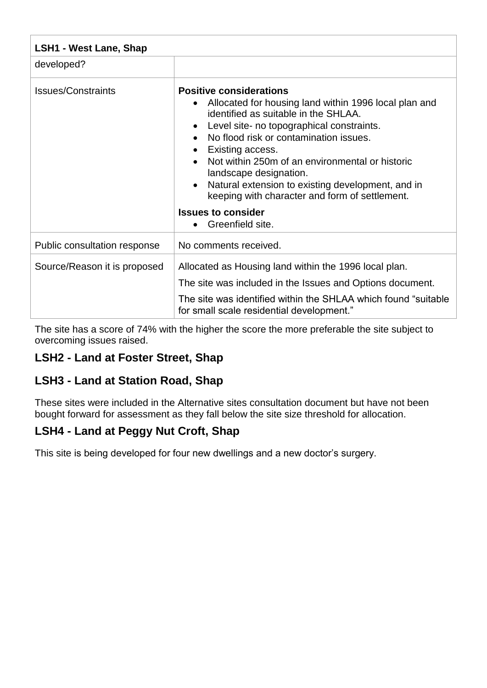| <b>LSH1 - West Lane, Shap</b> |                                                                                                                                                                                                                                                                                                                                                                                                                                                                                                           |
|-------------------------------|-----------------------------------------------------------------------------------------------------------------------------------------------------------------------------------------------------------------------------------------------------------------------------------------------------------------------------------------------------------------------------------------------------------------------------------------------------------------------------------------------------------|
| developed?                    |                                                                                                                                                                                                                                                                                                                                                                                                                                                                                                           |
| <b>Issues/Constraints</b>     | <b>Positive considerations</b><br>Allocated for housing land within 1996 local plan and<br>$\bullet$<br>identified as suitable in the SHLAA.<br>Level site- no topographical constraints.<br>No flood risk or contamination issues.<br>Existing access.<br>Not within 250m of an environmental or historic<br>landscape designation.<br>Natural extension to existing development, and in<br>keeping with character and form of settlement.<br><b>Issues to consider</b><br>Greenfield site.<br>$\bullet$ |
| Public consultation response  | No comments received.                                                                                                                                                                                                                                                                                                                                                                                                                                                                                     |
| Source/Reason it is proposed  | Allocated as Housing land within the 1996 local plan.<br>The site was included in the Issues and Options document.<br>The site was identified within the SHLAA which found "suitable"<br>for small scale residential development."                                                                                                                                                                                                                                                                        |

The site has a score of 74% with the higher the score the more preferable the site subject to overcoming issues raised.

### **LSH2 - Land at Foster Street, Shap**

#### **LSH3 - Land at Station Road, Shap**

These sites were included in the Alternative sites consultation document but have not been bought forward for assessment as they fall below the site size threshold for allocation.

#### **LSH4 - Land at Peggy Nut Croft, Shap**

This site is being developed for four new dwellings and a new doctor's surgery.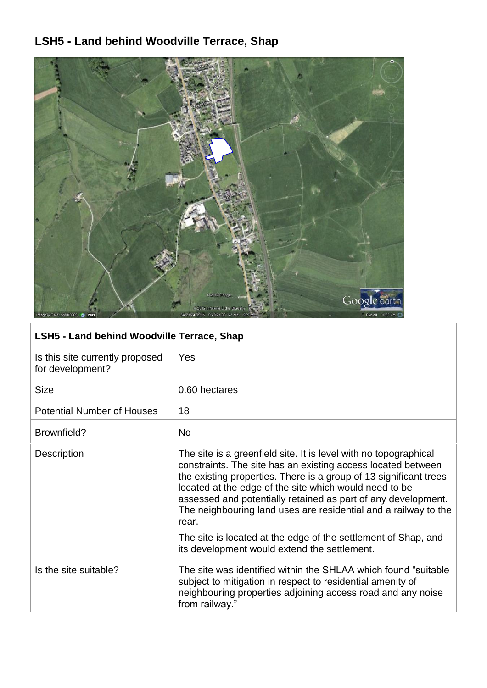# **LSH5 - Land behind Woodville Terrace, Shap**



### **LSH5 - Land behind Woodville Terrace, Shap**

| Is this site currently proposed<br>for development? | Yes                                                                                                                                                                                                                                                                                                                                                                                                                                                                                                                            |
|-----------------------------------------------------|--------------------------------------------------------------------------------------------------------------------------------------------------------------------------------------------------------------------------------------------------------------------------------------------------------------------------------------------------------------------------------------------------------------------------------------------------------------------------------------------------------------------------------|
| <b>Size</b>                                         | 0.60 hectares                                                                                                                                                                                                                                                                                                                                                                                                                                                                                                                  |
| <b>Potential Number of Houses</b>                   | 18                                                                                                                                                                                                                                                                                                                                                                                                                                                                                                                             |
| Brownfield?                                         | N <sub>o</sub>                                                                                                                                                                                                                                                                                                                                                                                                                                                                                                                 |
| Description                                         | The site is a greenfield site. It is level with no topographical<br>constraints. The site has an existing access located between<br>the existing properties. There is a group of 13 significant trees<br>located at the edge of the site which would need to be<br>assessed and potentially retained as part of any development.<br>The neighbouring land uses are residential and a railway to the<br>rear.<br>The site is located at the edge of the settlement of Shap, and<br>its development would extend the settlement. |
| Is the site suitable?                               | The site was identified within the SHLAA which found "suitable"<br>subject to mitigation in respect to residential amenity of<br>neighbouring properties adjoining access road and any noise<br>from railway."                                                                                                                                                                                                                                                                                                                 |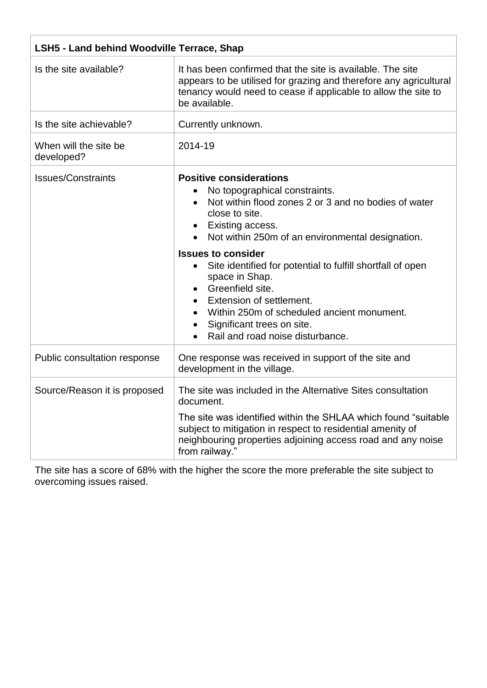| <b>LSH5 - Land behind Woodville Terrace, Shap</b> |                                                                                                                                                                                                                                                                                                                                                                                                                                                                                                             |
|---------------------------------------------------|-------------------------------------------------------------------------------------------------------------------------------------------------------------------------------------------------------------------------------------------------------------------------------------------------------------------------------------------------------------------------------------------------------------------------------------------------------------------------------------------------------------|
| Is the site available?                            | It has been confirmed that the site is available. The site<br>appears to be utilised for grazing and therefore any agricultural<br>tenancy would need to cease if applicable to allow the site to<br>be available.                                                                                                                                                                                                                                                                                          |
| Is the site achievable?                           | Currently unknown.                                                                                                                                                                                                                                                                                                                                                                                                                                                                                          |
| When will the site be<br>developed?               | 2014-19                                                                                                                                                                                                                                                                                                                                                                                                                                                                                                     |
| <b>Issues/Constraints</b>                         | <b>Positive considerations</b><br>No topographical constraints.<br>Not within flood zones 2 or 3 and no bodies of water<br>close to site.<br>Existing access.<br>Not within 250m of an environmental designation.<br><b>Issues to consider</b><br>Site identified for potential to fulfill shortfall of open<br>$\bullet$<br>space in Shap.<br>Greenfield site.<br>Extension of settlement.<br>Within 250m of scheduled ancient monument.<br>Significant trees on site.<br>Rail and road noise disturbance. |
| Public consultation response                      | One response was received in support of the site and<br>development in the village.                                                                                                                                                                                                                                                                                                                                                                                                                         |
| Source/Reason it is proposed                      | The site was included in the Alternative Sites consultation<br>document.<br>The site was identified within the SHLAA which found "suitable"<br>subject to mitigation in respect to residential amenity of<br>neighbouring properties adjoining access road and any noise<br>from railway."                                                                                                                                                                                                                  |

The site has a score of 68% with the higher the score the more preferable the site subject to overcoming issues raised.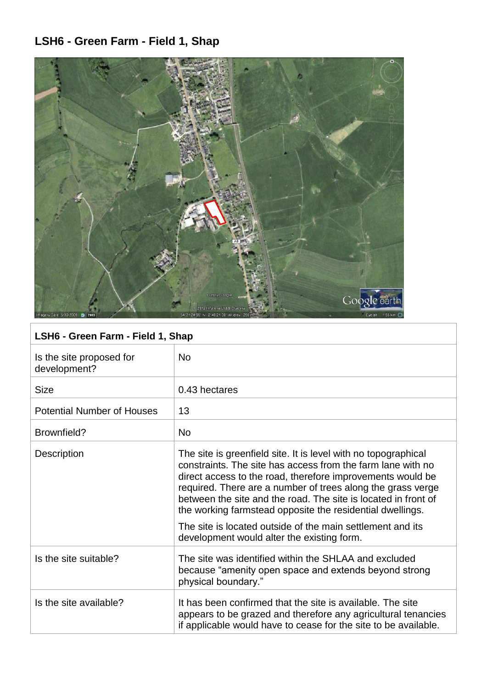# **LSH6 - Green Farm - Field 1, Shap**



## **LSH6 - Green Farm - Field 1, Shap**

| Is the site proposed for<br>development? | <b>No</b>                                                                                                                                                                                                                                                                                                                                                                                                                                                                                             |
|------------------------------------------|-------------------------------------------------------------------------------------------------------------------------------------------------------------------------------------------------------------------------------------------------------------------------------------------------------------------------------------------------------------------------------------------------------------------------------------------------------------------------------------------------------|
| <b>Size</b>                              | 0.43 hectares                                                                                                                                                                                                                                                                                                                                                                                                                                                                                         |
| <b>Potential Number of Houses</b>        | 13                                                                                                                                                                                                                                                                                                                                                                                                                                                                                                    |
| Brownfield?                              | <b>No</b>                                                                                                                                                                                                                                                                                                                                                                                                                                                                                             |
| <b>Description</b>                       | The site is greenfield site. It is level with no topographical<br>constraints. The site has access from the farm lane with no<br>direct access to the road, therefore improvements would be<br>required. There are a number of trees along the grass verge<br>between the site and the road. The site is located in front of<br>the working farmstead opposite the residential dwellings.<br>The site is located outside of the main settlement and its<br>development would alter the existing form. |
| Is the site suitable?                    | The site was identified within the SHLAA and excluded<br>because "amenity open space and extends beyond strong<br>physical boundary."                                                                                                                                                                                                                                                                                                                                                                 |
| Is the site available?                   | It has been confirmed that the site is available. The site<br>appears to be grazed and therefore any agricultural tenancies<br>if applicable would have to cease for the site to be available.                                                                                                                                                                                                                                                                                                        |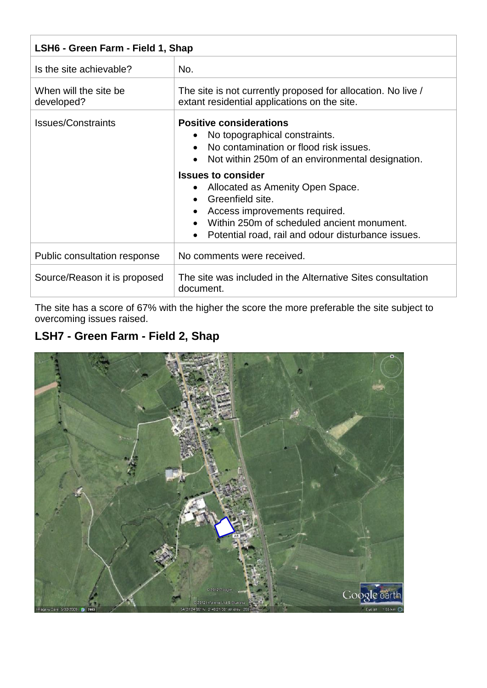| LSH6 - Green Farm - Field 1, Shap   |                                                                                                                                                                                                                                                                                                                                                                                                        |
|-------------------------------------|--------------------------------------------------------------------------------------------------------------------------------------------------------------------------------------------------------------------------------------------------------------------------------------------------------------------------------------------------------------------------------------------------------|
| Is the site achievable?             | No.                                                                                                                                                                                                                                                                                                                                                                                                    |
| When will the site be<br>developed? | The site is not currently proposed for allocation. No live /<br>extant residential applications on the site.                                                                                                                                                                                                                                                                                           |
| <b>Issues/Constraints</b>           | <b>Positive considerations</b><br>No topographical constraints.<br>No contamination or flood risk issues.<br>• Not within 250m of an environmental designation.<br><b>Issues to consider</b><br>Allocated as Amenity Open Space.<br>$\bullet$<br>Greenfield site.<br>Access improvements required.<br>Within 250m of scheduled ancient monument.<br>Potential road, rail and odour disturbance issues. |
| Public consultation response        | No comments were received.                                                                                                                                                                                                                                                                                                                                                                             |
| Source/Reason it is proposed        | The site was included in the Alternative Sites consultation<br>document.                                                                                                                                                                                                                                                                                                                               |

The site has a score of 67% with the higher the score the more preferable the site subject to overcoming issues raised.

## **LSH7 - Green Farm - Field 2, Shap**

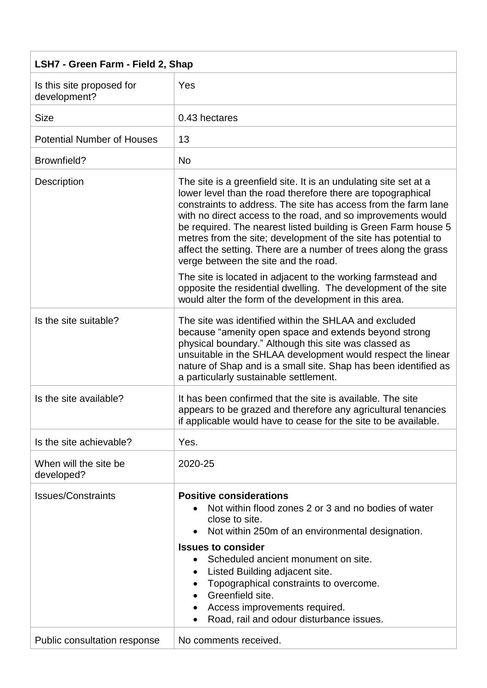| LSH7 - Green Farm - Field 2, Shap         |                                                                                                                                                                                                                                                                                                                                                                                                                                                                                                                  |
|-------------------------------------------|------------------------------------------------------------------------------------------------------------------------------------------------------------------------------------------------------------------------------------------------------------------------------------------------------------------------------------------------------------------------------------------------------------------------------------------------------------------------------------------------------------------|
| Is this site proposed for<br>development? | Yes                                                                                                                                                                                                                                                                                                                                                                                                                                                                                                              |
| <b>Size</b>                               | 0.43 hectares                                                                                                                                                                                                                                                                                                                                                                                                                                                                                                    |
| <b>Potential Number of Houses</b>         | 13                                                                                                                                                                                                                                                                                                                                                                                                                                                                                                               |
| Brownfield?                               | <b>No</b>                                                                                                                                                                                                                                                                                                                                                                                                                                                                                                        |
| Description                               | The site is a greenfield site. It is an undulating site set at a<br>lower level than the road therefore there are topographical<br>constraints to address. The site has access from the farm lane<br>with no direct access to the road, and so improvements would<br>be required. The nearest listed building is Green Farm house 5<br>metres from the site; development of the site has potential to<br>affect the setting. There are a number of trees along the grass<br>verge between the site and the road. |
|                                           | The site is located in adjacent to the working farmstead and<br>opposite the residential dwelling. The development of the site<br>would alter the form of the development in this area.                                                                                                                                                                                                                                                                                                                          |
| Is the site suitable?                     | The site was identified within the SHLAA and excluded<br>because "amenity open space and extends beyond strong<br>physical boundary." Although this site was classed as<br>unsuitable in the SHLAA development would respect the linear<br>nature of Shap and is a small site. Shap has been identified as<br>a particularly sustainable settlement.                                                                                                                                                             |
| Is the site available?                    | It has been confirmed that the site is available. The site<br>appears to be grazed and therefore any agricultural tenancies<br>if applicable would have to cease for the site to be available.                                                                                                                                                                                                                                                                                                                   |
| Is the site achievable?                   | Yes.                                                                                                                                                                                                                                                                                                                                                                                                                                                                                                             |
| When will the site be<br>developed?       | 2020-25                                                                                                                                                                                                                                                                                                                                                                                                                                                                                                          |
| <b>Issues/Constraints</b>                 | <b>Positive considerations</b><br>Not within flood zones 2 or 3 and no bodies of water<br>close to site.<br>Not within 250m of an environmental designation.<br><b>Issues to consider</b><br>Scheduled ancient monument on site.<br>Listed Building adjacent site.                                                                                                                                                                                                                                               |
|                                           | Topographical constraints to overcome.<br>Greenfield site.<br>Access improvements required.<br>Road, rail and odour disturbance issues.<br>$\bullet$                                                                                                                                                                                                                                                                                                                                                             |
| Public consultation response              | No comments received.                                                                                                                                                                                                                                                                                                                                                                                                                                                                                            |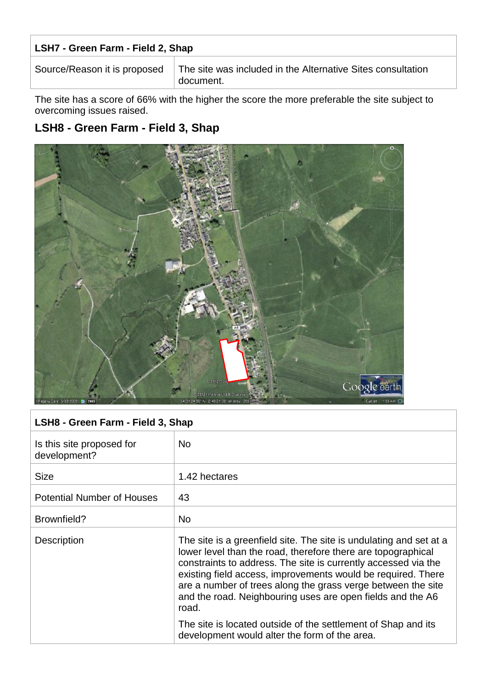#### **LSH7 - Green Farm - Field 2, Shap**

Source/Reason it is proposed  $\parallel$  The site was included in the Alternative Sites consultation document.

The site has a score of 66% with the higher the score the more preferable the site subject to overcoming issues raised.

### **LSH8 - Green Farm - Field 3, Shap**



| LSH8 - Green Farm - Field 3, Shap         |                                                                                                                                                                                                                                                                                                                                                                                                             |
|-------------------------------------------|-------------------------------------------------------------------------------------------------------------------------------------------------------------------------------------------------------------------------------------------------------------------------------------------------------------------------------------------------------------------------------------------------------------|
| Is this site proposed for<br>development? | <b>No</b>                                                                                                                                                                                                                                                                                                                                                                                                   |
| <b>Size</b>                               | 1.42 hectares                                                                                                                                                                                                                                                                                                                                                                                               |
| <b>Potential Number of Houses</b>         | 43                                                                                                                                                                                                                                                                                                                                                                                                          |
| Brownfield?                               | <b>No</b>                                                                                                                                                                                                                                                                                                                                                                                                   |
| <b>Description</b>                        | The site is a greenfield site. The site is undulating and set at a<br>lower level than the road, therefore there are topographical<br>constraints to address. The site is currently accessed via the<br>existing field access, improvements would be required. There<br>are a number of trees along the grass verge between the site<br>and the road. Neighbouring uses are open fields and the A6<br>road. |
|                                           | The site is located outside of the settlement of Shap and its<br>development would alter the form of the area.                                                                                                                                                                                                                                                                                              |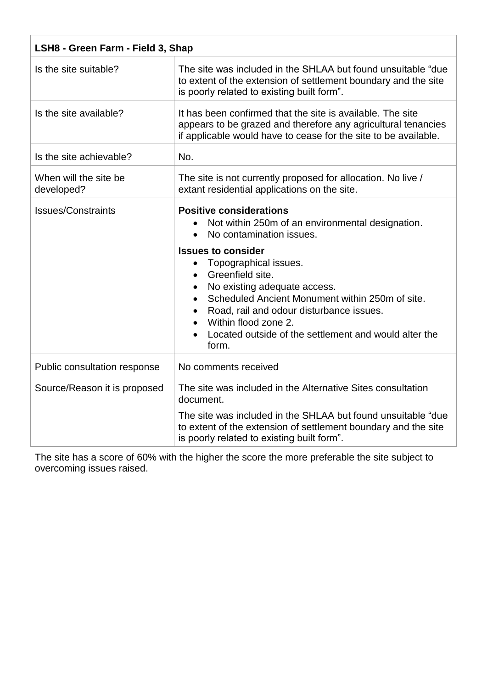| LSH8 - Green Farm - Field 3, Shap   |                                                                                                                                                                                                                                                                                                                                                                                                                                                                                                 |
|-------------------------------------|-------------------------------------------------------------------------------------------------------------------------------------------------------------------------------------------------------------------------------------------------------------------------------------------------------------------------------------------------------------------------------------------------------------------------------------------------------------------------------------------------|
| Is the site suitable?               | The site was included in the SHLAA but found unsuitable "due"<br>to extent of the extension of settlement boundary and the site<br>is poorly related to existing built form".                                                                                                                                                                                                                                                                                                                   |
| Is the site available?              | It has been confirmed that the site is available. The site<br>appears to be grazed and therefore any agricultural tenancies<br>if applicable would have to cease for the site to be available.                                                                                                                                                                                                                                                                                                  |
| Is the site achievable?             | No.                                                                                                                                                                                                                                                                                                                                                                                                                                                                                             |
| When will the site be<br>developed? | The site is not currently proposed for allocation. No live /<br>extant residential applications on the site.                                                                                                                                                                                                                                                                                                                                                                                    |
| <b>Issues/Constraints</b>           | <b>Positive considerations</b><br>Not within 250m of an environmental designation.<br>$\bullet$<br>No contamination issues.<br>$\bullet$<br><b>Issues to consider</b><br>Topographical issues.<br>$\bullet$<br>Greenfield site.<br>$\bullet$<br>No existing adequate access.<br>Scheduled Ancient Monument within 250m of site.<br>Road, rail and odour disturbance issues.<br>Within flood zone 2.<br>$\bullet$<br>Located outside of the settlement and would alter the<br>$\bullet$<br>form. |
| Public consultation response        | No comments received                                                                                                                                                                                                                                                                                                                                                                                                                                                                            |
| Source/Reason it is proposed        | The site was included in the Alternative Sites consultation<br>document.<br>The site was included in the SHLAA but found unsuitable "due"<br>to extent of the extension of settlement boundary and the site<br>is poorly related to existing built form".                                                                                                                                                                                                                                       |

The site has a score of 60% with the higher the score the more preferable the site subject to overcoming issues raised.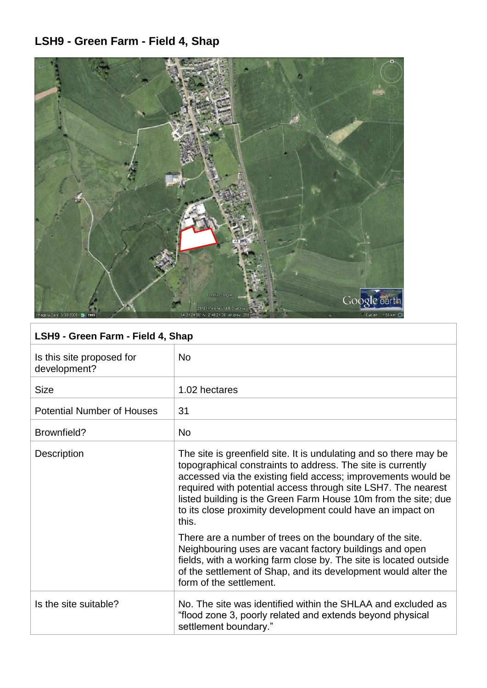# **LSH9 - Green Farm - Field 4, Shap**



# **LSH9 - Green Farm - Field 4, Shap**

| Is this site proposed for<br>development? | <b>No</b>                                                                                                                                                                                                                                                                                                                                                                                                   |
|-------------------------------------------|-------------------------------------------------------------------------------------------------------------------------------------------------------------------------------------------------------------------------------------------------------------------------------------------------------------------------------------------------------------------------------------------------------------|
| <b>Size</b>                               | 1.02 hectares                                                                                                                                                                                                                                                                                                                                                                                               |
| <b>Potential Number of Houses</b>         | 31                                                                                                                                                                                                                                                                                                                                                                                                          |
| Brownfield?                               | <b>No</b>                                                                                                                                                                                                                                                                                                                                                                                                   |
| <b>Description</b>                        | The site is greenfield site. It is undulating and so there may be<br>topographical constraints to address. The site is currently<br>accessed via the existing field access; improvements would be<br>required with potential access through site LSH7. The nearest<br>listed building is the Green Farm House 10m from the site; due<br>to its close proximity development could have an impact on<br>this. |
|                                           | There are a number of trees on the boundary of the site.<br>Neighbouring uses are vacant factory buildings and open<br>fields, with a working farm close by. The site is located outside<br>of the settlement of Shap, and its development would alter the<br>form of the settlement.                                                                                                                       |
| Is the site suitable?                     | No. The site was identified within the SHLAA and excluded as<br>"flood zone 3, poorly related and extends beyond physical<br>settlement boundary."                                                                                                                                                                                                                                                          |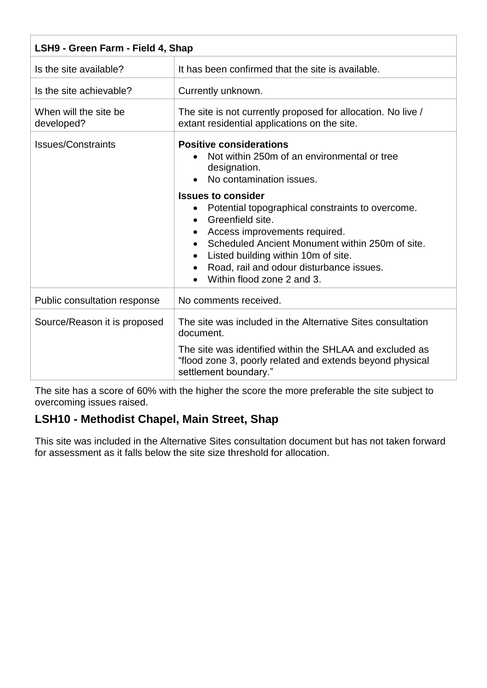| LSH9 - Green Farm - Field 4, Shap   |                                                                                                                                                                                                                                                                                                                                  |
|-------------------------------------|----------------------------------------------------------------------------------------------------------------------------------------------------------------------------------------------------------------------------------------------------------------------------------------------------------------------------------|
| Is the site available?              | It has been confirmed that the site is available.                                                                                                                                                                                                                                                                                |
| Is the site achievable?             | Currently unknown.                                                                                                                                                                                                                                                                                                               |
| When will the site be<br>developed? | The site is not currently proposed for allocation. No live /<br>extant residential applications on the site.                                                                                                                                                                                                                     |
| <b>Issues/Constraints</b>           | <b>Positive considerations</b><br>Not within 250m of an environmental or tree<br>designation.<br>No contamination issues.                                                                                                                                                                                                        |
|                                     | <b>Issues to consider</b><br>Potential topographical constraints to overcome.<br>$\bullet$<br>Greenfield site.<br>$\bullet$<br>Access improvements required.<br>Scheduled Ancient Monument within 250m of site.<br>Listed building within 10m of site.<br>Road, rail and odour disturbance issues.<br>Within flood zone 2 and 3. |
| Public consultation response        | No comments received.                                                                                                                                                                                                                                                                                                            |
| Source/Reason it is proposed        | The site was included in the Alternative Sites consultation<br>document.<br>The site was identified within the SHLAA and excluded as<br>"flood zone 3, poorly related and extends beyond physical<br>settlement boundary."                                                                                                       |

The site has a score of 60% with the higher the score the more preferable the site subject to overcoming issues raised.

## **LSH10 - Methodist Chapel, Main Street, Shap**

This site was included in the Alternative Sites consultation document but has not taken forward for assessment as it falls below the site size threshold for allocation.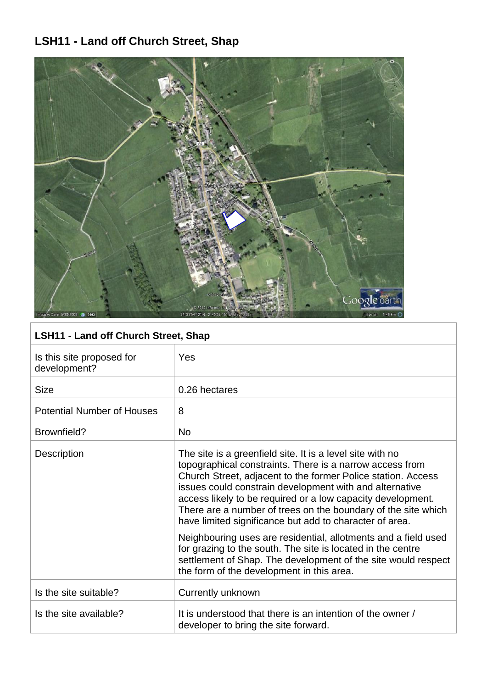# **LSH11 - Land off Church Street, Shap**



## **LSH11 - Land off Church Street, Shap**

| Is this site proposed for<br>development? | Yes                                                                                                                                                                                                                                                                                                                                                                                                                                                                                                                                                                                                                                                                                        |
|-------------------------------------------|--------------------------------------------------------------------------------------------------------------------------------------------------------------------------------------------------------------------------------------------------------------------------------------------------------------------------------------------------------------------------------------------------------------------------------------------------------------------------------------------------------------------------------------------------------------------------------------------------------------------------------------------------------------------------------------------|
| <b>Size</b>                               | 0.26 hectares                                                                                                                                                                                                                                                                                                                                                                                                                                                                                                                                                                                                                                                                              |
| <b>Potential Number of Houses</b>         | 8                                                                                                                                                                                                                                                                                                                                                                                                                                                                                                                                                                                                                                                                                          |
| Brownfield?                               | <b>No</b>                                                                                                                                                                                                                                                                                                                                                                                                                                                                                                                                                                                                                                                                                  |
| Description                               | The site is a greenfield site. It is a level site with no<br>topographical constraints. There is a narrow access from<br>Church Street, adjacent to the former Police station. Access<br>issues could constrain development with and alternative<br>access likely to be required or a low capacity development.<br>There are a number of trees on the boundary of the site which<br>have limited significance but add to character of area.<br>Neighbouring uses are residential, allotments and a field used<br>for grazing to the south. The site is located in the centre<br>settlement of Shap. The development of the site would respect<br>the form of the development in this area. |
| Is the site suitable?                     | Currently unknown                                                                                                                                                                                                                                                                                                                                                                                                                                                                                                                                                                                                                                                                          |
| Is the site available?                    | It is understood that there is an intention of the owner /<br>developer to bring the site forward.                                                                                                                                                                                                                                                                                                                                                                                                                                                                                                                                                                                         |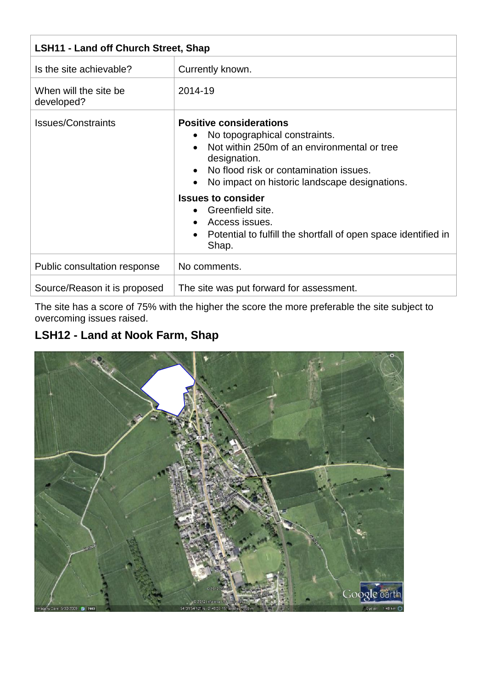| <b>LSH11 - Land off Church Street, Shap</b> |                                                                                                                                                                                                                                                                                                                                                                           |  |
|---------------------------------------------|---------------------------------------------------------------------------------------------------------------------------------------------------------------------------------------------------------------------------------------------------------------------------------------------------------------------------------------------------------------------------|--|
| Is the site achievable?                     | Currently known.                                                                                                                                                                                                                                                                                                                                                          |  |
| When will the site be<br>developed?         | 2014-19                                                                                                                                                                                                                                                                                                                                                                   |  |
| <b>Issues/Constraints</b>                   | <b>Positive considerations</b><br>No topographical constraints.<br>Not within 250m of an environmental or tree<br>designation.<br>• No flood risk or contamination issues.<br>No impact on historic landscape designations.<br><b>Issues to consider</b><br>Greenfield site.<br>Access issues.<br>Potential to fulfill the shortfall of open space identified in<br>Shap. |  |
| Public consultation response                | No comments.                                                                                                                                                                                                                                                                                                                                                              |  |
| Source/Reason it is proposed                | The site was put forward for assessment.                                                                                                                                                                                                                                                                                                                                  |  |

The site has a score of 75% with the higher the score the more preferable the site subject to overcoming issues raised.

## **LSH12 - Land at Nook Farm, Shap**

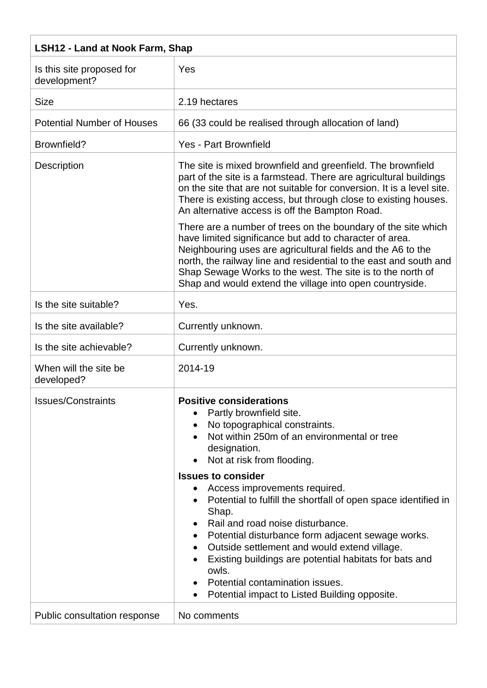| <b>LSH12 - Land at Nook Farm, Shap</b>    |                                                                                                                                                                                                                                                                                                                                                                                                                                       |  |
|-------------------------------------------|---------------------------------------------------------------------------------------------------------------------------------------------------------------------------------------------------------------------------------------------------------------------------------------------------------------------------------------------------------------------------------------------------------------------------------------|--|
| Is this site proposed for<br>development? | Yes                                                                                                                                                                                                                                                                                                                                                                                                                                   |  |
| <b>Size</b>                               | 2.19 hectares                                                                                                                                                                                                                                                                                                                                                                                                                         |  |
| <b>Potential Number of Houses</b>         | 66 (33 could be realised through allocation of land)                                                                                                                                                                                                                                                                                                                                                                                  |  |
| Brownfield?                               | Yes - Part Brownfield                                                                                                                                                                                                                                                                                                                                                                                                                 |  |
| <b>Description</b>                        | The site is mixed brownfield and greenfield. The brownfield<br>part of the site is a farmstead. There are agricultural buildings<br>on the site that are not suitable for conversion. It is a level site.<br>There is existing access, but through close to existing houses.<br>An alternative access is off the Bampton Road.                                                                                                        |  |
|                                           | There are a number of trees on the boundary of the site which<br>have limited significance but add to character of area.<br>Neighbouring uses are agricultural fields and the A6 to the<br>north, the railway line and residential to the east and south and<br>Shap Sewage Works to the west. The site is to the north of<br>Shap and would extend the village into open countryside.                                                |  |
| Is the site suitable?                     | Yes.                                                                                                                                                                                                                                                                                                                                                                                                                                  |  |
| Is the site available?                    | Currently unknown.                                                                                                                                                                                                                                                                                                                                                                                                                    |  |
| Is the site achievable?                   | Currently unknown.                                                                                                                                                                                                                                                                                                                                                                                                                    |  |
| When will the site be<br>developed?       | 2014-19                                                                                                                                                                                                                                                                                                                                                                                                                               |  |
| <b>Issues/Constraints</b>                 | <b>Positive considerations</b><br>Partly brownfield site.<br>No topographical constraints.<br>Not within 250m of an environmental or tree<br>designation.<br>Not at risk from flooding.                                                                                                                                                                                                                                               |  |
|                                           | <b>Issues to consider</b><br>Access improvements required.<br>Potential to fulfill the shortfall of open space identified in<br>Shap.<br>Rail and road noise disturbance.<br>Potential disturbance form adjacent sewage works.<br>Outside settlement and would extend village.<br>Existing buildings are potential habitats for bats and<br>owls.<br>Potential contamination issues.<br>Potential impact to Listed Building opposite. |  |
| Public consultation response              | No comments                                                                                                                                                                                                                                                                                                                                                                                                                           |  |